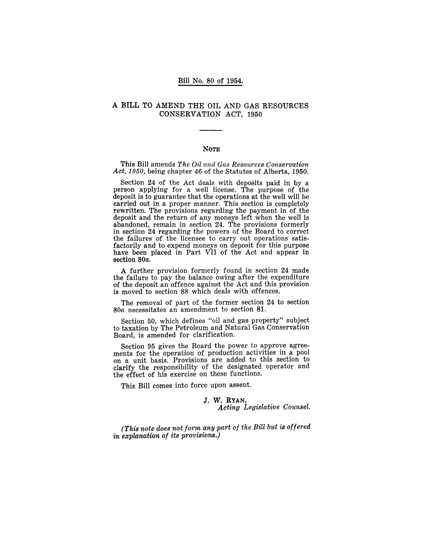### Bill No. 80 of 1954.

# A BILL TO AMEND THE OIL AND GAS RESOURCES CONSERVATION ACT, 1950

#### **NOTE**

This Bill amends *The Oil and Ga8 Re8ource8 Conservation Act, 1950,* being chapter 46 of the Statutes of Alberta, 1950.

Section 24 of the Act deals with deposits paid in by a person applying for a well license. The purpose of the deposit is to guarantee that the operations at the well will be carried out in a proper manner. This section is completely rewritten. The provisions regarding the payment in of the deposit and the return of any moneys left when the well is abandoned, remain in section 24. The provisions formerly in section 24 regarding the powers of the Board to correct the failures of the licensee to carry out operations satisfactorily and to expend moneys on deposit for this purpose have been placed in Part VII of the Act and appear in section *80a.* 

A further provision formerly found in section 24 made the failure to pay the balance owing after the expenditure of the deposit an offence against the Act and this provision is moved to section 88 which deals with offences.

The removal of part of the former section 24 to section *80a* necessitates an amendment to section 81.

Section 50, which defines "oil and gas property" subject to taxation by The Petroleum and Natural Gas Conservation Board, is amended for clarification.

Section 95 gives the Board the power to approve agreements for the operation of production activities in a pool on a unit basis. Provisions are added to this section to clarify the responsibility of the designated operator and the effect of his exercise on these functions.

This Bill comes into force upon assent.

#### J. W. RYAN, *Acting Legislative Counsel.*

*(This note does not form any part of the Bill but is offered in explanation of its provisions.)*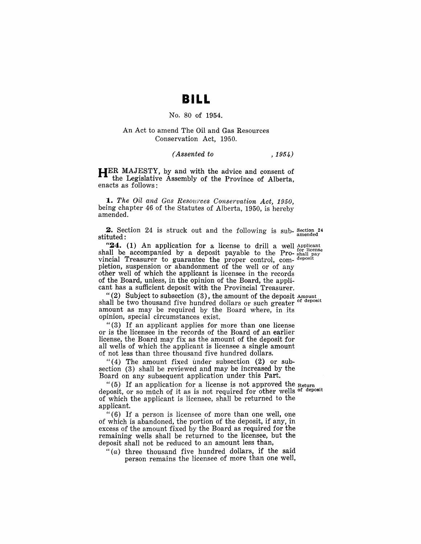# **BILL**

# No. 80 of 1954.

### An Act to amend The Oil and Gas Resources Conservation Act, 1950.

#### *(Assented to* , 1954)

**HER** MAJESTY, by and with the advice and consent of the Legislative Assembly of the Province of Alberta, enacts as follows:

*1. The Oil and Gas Resources Conservation Act, 1950,*  being chapter 46 of the Statutes of Alberta, 1950, is hereby amended.

**2.** Section 24 is struck out and the following is sub- Section 24 stituted:

"24. (1) An application for a license to drill a well Applicant shall be accompanied by a deposit payable to the Pro- shall pay vincial Treasurer to guarantee the proper control, com- deposit pletion, suspension or abandonment of the well or of any other well of which the applicant is licensee in the records of the Board, unless, in the opinion of the Board, the applicant has a sufficient deposit with the Provincial Treasurer.

"(2) Subject to subsection  $(3)$ , the amount of the deposit Amount. shall be two thousand five hundred dollars or such greater amount as may be required by the Board where, in its opinion, special circumstances exist.

"(3) If an applicant applies for more than one license or is the licensee in the records of the Board of an earlier license, the Board may fix as the amount of the deposit for all wells of which the applicant is licensee a single amount of not less than three thousand five hundred dollars.

"( 4) The amount fixed under subsection (2) or subsection (3) shall be reviewed and may be increased by the Board on any subsequent application under this Part.

" $(5)$  If an application for a license is not approved the Return deposit, or so much of it as is not required for other wells of deposit of which the applicant is licensee, shall be returned to the applicant.

" (6) If a person is licensee of more than one well, one of which is abandoned, the portion of the deposit, if any, in excess of the amount fixed by the Board as required for the remaining wells shall be returned to the licensee, but the deposit shall not be reduced to an amount less than,

" $(a)$  three thousand five hundred dollars, if the said person remains the licensee of more than one well,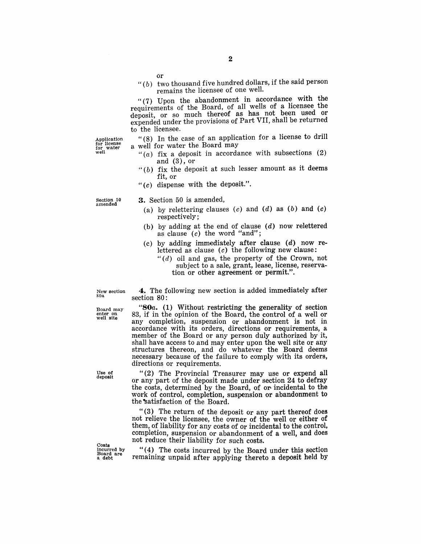" $(b)$  two thousand five hundred dollars, if the said person remains the licensee of one well.

" $(7)$  Upon the abandonment in accordance with the requirements of the Board, of all wells of a licensee the deposit, or so much thereof as has not been used or expended under the provisions of Part VII, shall be returned to the licensee.

Application for license for water well

"(8) In the case of an application for a license to drill a well for water the Board may

- "(a) fix a deposit in accordance with subsections (2) and (3), or
- " $(b)$  fix the deposit at such lesser amount as it deems fit, or
- " $(c)$  dispense with the deposit.".

Section 50<br>amended

#### 3. Section 50 is amended,

- (a) by relettering clauses  $(c)$  and  $(d)$  as  $(b)$  and  $(c)$ respectively;
- (b) by adding at the end of clause  $(d)$  now relettered as clause  $(c)$  the word "and";
- $(c)$  by adding immediately after clause  $(d)$  now relettered as clause  $(c)$  the following new clause:
	- *"(d)* oil and gas, the property of the Crown, not subject to a sale, grant, lease, license, reservation or other agreement or permit.".

New section gOa

4. The following new section is added immediately after section 80:

*"80a.* (1) Without restricting the generality of section 83, if in the opinion of the Board, the control of a well or any completion, suspension or abandonment is not in accordance with its orders, directions or requirements, a member of the Board or any person duly authorized by it, shall have access to and may enter upon the well site or any structures thereon, and do whatever the Board deems necessary because of the failure to comply with its orders, directions or requirements.

"(2) The Provincial Treasurer may use or expend all or any part of the deposit made under section 24 to defray the costs, determined by the Board, of or incidental to the work of control, completion, suspension or abandonment to the satisfaction of the Board.

"(3) The return of the deposit or any part thereof does not relieve the licensee, the owner of the well or either of them, of liability for any costs of or incidental to the control, completion, suspension or abandonment of a well, and does not reduce their liability for such costs.

**Costs** incurred by Board are a debt

"(4) The costs incurred by the Board under this section remaining unpaid after applying thereto a deposit held by

Board may enter on well site

Use *ot*  deposit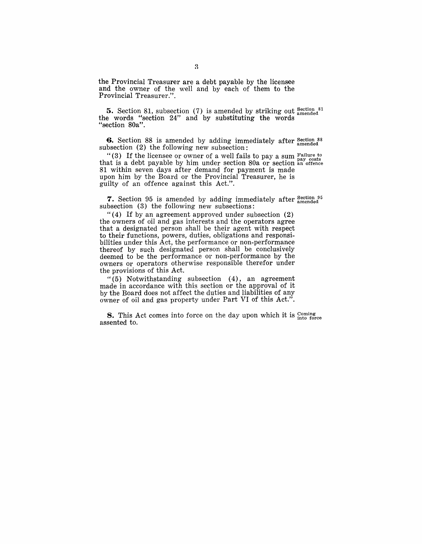the Provincial Treasurer are a debt payable by the licensee and the owner of the well and by each of them to the Provincial Treasurer.".

**5.** Section 81, subsection (7) is amended by striking out  $_{\text{amended}}^{Section 81}$ the words "section 24" and by substituting the words "section 80a".

**6.** Section 88 is amended by adding immediately after section 88 subsection  $(2)$  the following new subsection:

"(3) If the licensee or owner of a well fails to pay a sum  $\frac{F \text{ failure to}}{P}$ that is a debt payable by him under section  $80a$  or section an offence 81 within seven days after demand for payment is made upon him by the Board or the Provincial Treasurer, he is guilty of an offence against this Act.".

7. Section 95 is amended by adding immediately after  $_{\text{amended}}^{Section}$ subsection (3) the following new subsections:

" (4) If by an agreement approved under subsection (2) the owners of oil and gas interests and the operators agree that a designated person shall be their agent with respect to their functions, powers, duties, obligations and responsibilities under this Act, the performance or non-performance thereof by such designated person shall be conclusively deemed to be the performance or non-performance by the owners or operators otherwise responsible therefor under the provisions of this Act.

"(5) Notwithstanding subsection (4), an agreement made in accordance with this section or the approval of it by the Board does not affect the duties and liabilities of any owner of oil and gas property under Part VI of this Act.".

**8.** This Act comes into force on the day upon which it is  $_{\text{into force}}^{ \text{coming}}$ assented to.